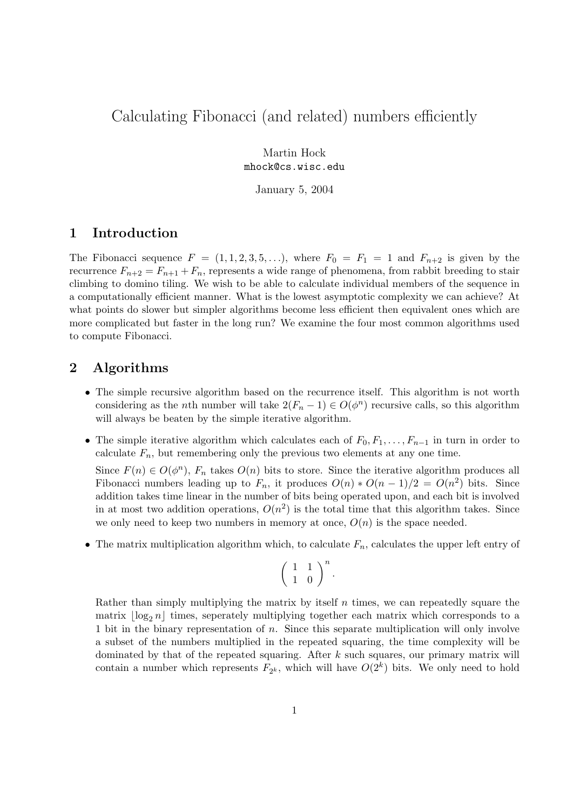## Calculating Fibonacci (and related) numbers efficiently

Martin Hock mhock@cs.wisc.edu

January 5, 2004

## 1 Introduction

The Fibonacci sequence  $F = (1, 1, 2, 3, 5, \ldots)$ , where  $F_0 = F_1 = 1$  and  $F_{n+2}$  is given by the recurrence  $F_{n+2} = F_{n+1} + F_n$ , represents a wide range of phenomena, from rabbit breeding to stair climbing to domino tiling. We wish to be able to calculate individual members of the sequence in a computationally efficient manner. What is the lowest asymptotic complexity we can achieve? At what points do slower but simpler algorithms become less efficient then equivalent ones which are more complicated but faster in the long run? We examine the four most common algorithms used to compute Fibonacci.

## 2 Algorithms

- The simple recursive algorithm based on the recurrence itself. This algorithm is not worth considering as the *n*th number will take  $2(F_n - 1) \in O(\phi^n)$  recursive calls, so this algorithm will always be beaten by the simple iterative algorithm.
- The simple iterative algorithm which calculates each of  $F_0, F_1, \ldots, F_{n-1}$  in turn in order to calculate  $F_n$ , but remembering only the previous two elements at any one time.

Since  $F(n) \in O(\phi^n)$ ,  $F_n$  takes  $O(n)$  bits to store. Since the iterative algorithm produces all Fibonacci numbers leading up to  $F_n$ , it produces  $O(n) * O(n-1)/2 = O(n^2)$  bits. Since addition takes time linear in the number of bits being operated upon, and each bit is involved in at most two addition operations,  $O(n^2)$  is the total time that this algorithm takes. Since we only need to keep two numbers in memory at once,  $O(n)$  is the space needed.

• The matrix multiplication algorithm which, to calculate  $F_n$ , calculates the upper left entry of

$$
\left(\begin{array}{cc} 1 & 1 \\ 1 & 0 \end{array}\right)^n.
$$

Rather than simply multiplying the matrix by itself  $n$  times, we can repeatedly square the matrix  $\log_2 n$  times, seperately multiplying together each matrix which corresponds to a 1 bit in the binary representation of n. Since this separate multiplication will only involve a subset of the numbers multiplied in the repeated squaring, the time complexity will be dominated by that of the repeated squaring. After k such squares, our primary matrix will contain a number which represents  $F_{2^k}$ , which will have  $O(2^k)$  bits. We only need to hold